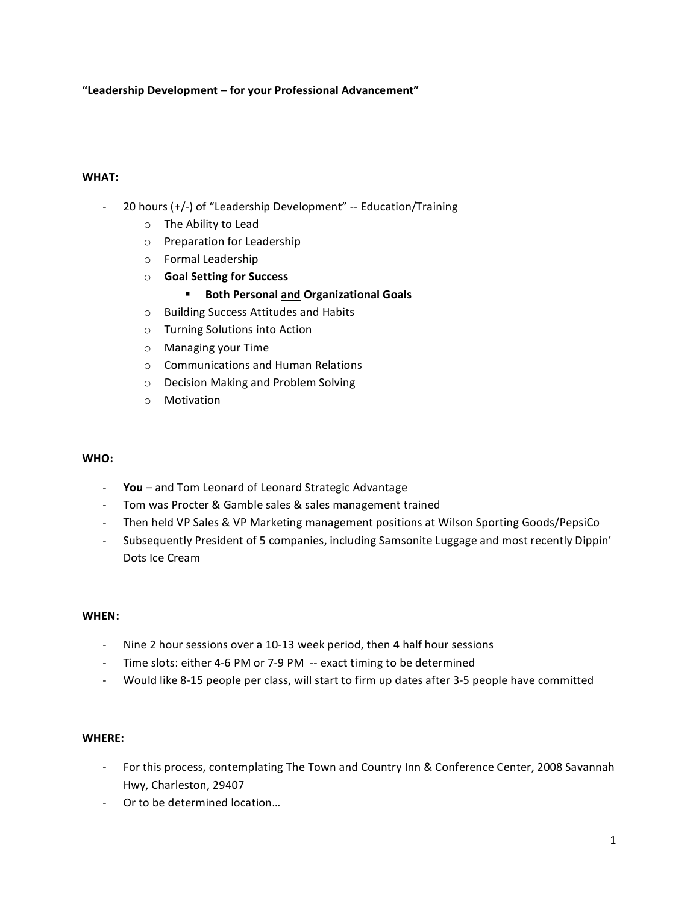## **"Leadership
Development –
for
your
Professional
Advancement"**

#### **WHAT:**

- 20 hours (+/-) of "Leadership Development" -- Education/Training
	- o The
	Ability
	to
	Lead
	- o Preparation
	for
	Leadership
	- o Formal
	Leadership
	- o **Goal
	Setting
	for
	Success**
		- **Both Personal and Organizational Goals**
	- o Building
	Success
	Attitudes
	and
	Habits
	- o Turning
	Solutions
	into
	Action
	- o Managing
	your
	Time
	- o Communications
	and
	Human
	Relations
	- o Decision
	Making
	and
	Problem
	Solving
	- o Motivation

#### **WHO:**

- ‐ **You** –
and
Tom
Leonard
of
Leonard
Strategic
Advantage
- ‐ Tom
was
Procter
&
Gamble
sales
&
sales
management
trained
- Then held VP Sales & VP Marketing management positions at Wilson Sporting Goods/PepsiCo
- Subsequently President of 5 companies, including Samsonite Luggage and most recently Dippin' Dots
Ice
Cream

#### **WHEN:**

- Nine 2 hour sessions over a 10-13 week period, then 4 half hour sessions
- Time slots: either 4-6 PM or 7-9 PM -- exact timing to be determined
- Would like 8-15 people per class, will start to firm up dates after 3-5 people have committed

#### **WHERE:**

- For this process, contemplating The Town and Country Inn & Conference Center, 2008 Savannah Hwy,
Charleston,
29407
- ‐ Or
to
be
determined
location…